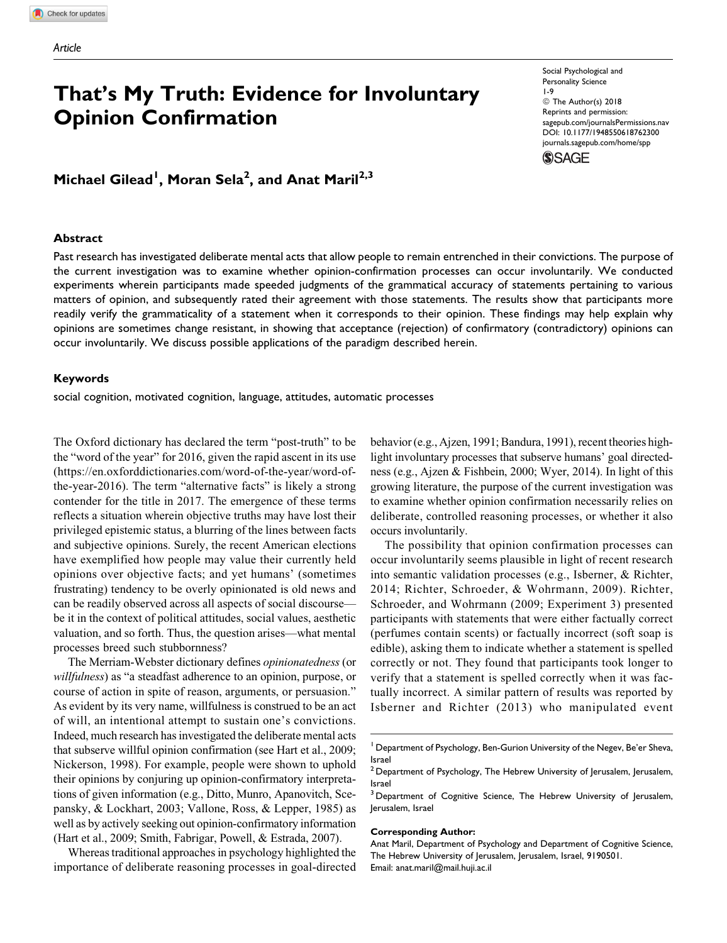# That's My Truth: Evidence for Involuntary Opinion Confirmation

Social Psychological and Personality Science 1-9 © The Author(s) 2018 Reprints and permission: [sagepub.com/journalsPermissions.nav](https://us.sagepub.com/en-us/journals-permissions) [DOI: 10.1177/1948550618762300](https://doi.org/10.1177/1948550618762300) [journals.sagepub.com/home/spp](http://journals.sagepub.com/home/spp)



## Michael Gilead<sup>1</sup>, Moran Sela<sup>2</sup>, and Anat Maril<sup>2,3</sup>

#### **Abstract**

Past research has investigated deliberate mental acts that allow people to remain entrenched in their convictions. The purpose of the current investigation was to examine whether opinion-confirmation processes can occur involuntarily. We conducted experiments wherein participants made speeded judgments of the grammatical accuracy of statements pertaining to various matters of opinion, and subsequently rated their agreement with those statements. The results show that participants more readily verify the grammaticality of a statement when it corresponds to their opinion. These findings may help explain why opinions are sometimes change resistant, in showing that acceptance (rejection) of confirmatory (contradictory) opinions can occur involuntarily. We discuss possible applications of the paradigm described herein.

#### Keywords

social cognition, motivated cognition, language, attitudes, automatic processes

The Oxford dictionary has declared the term "post-truth" to be the "word of the year" for 2016, given the rapid ascent in its use ([https://en.oxforddictionaries.com/word-of-the-year/word-of](https://en.oxforddictionaries.com/word-of-the-year/word-of-the-year-2016)[the-year-2016](https://en.oxforddictionaries.com/word-of-the-year/word-of-the-year-2016)). The term "alternative facts" is likely a strong contender for the title in 2017. The emergence of these terms reflects a situation wherein objective truths may have lost their privileged epistemic status, a blurring of the lines between facts and subjective opinions. Surely, the recent American elections have exemplified how people may value their currently held opinions over objective facts; and yet humans' (sometimes frustrating) tendency to be overly opinionated is old news and can be readily observed across all aspects of social discourse be it in the context of political attitudes, social values, aesthetic valuation, and so forth. Thus, the question arises—what mental processes breed such stubbornness?

The Merriam-Webster dictionary defines opinionatedness (or willfulness) as "a steadfast adherence to an opinion, purpose, or course of action in spite of reason, arguments, or persuasion." As evident by its very name, willfulness is construed to be an act of will, an intentional attempt to sustain one's convictions. Indeed, much research has investigated the deliberate mental acts that subserve willful opinion confirmation (see Hart et al., 2009; Nickerson, 1998). For example, people were shown to uphold their opinions by conjuring up opinion-confirmatory interpretations of given information (e.g., Ditto, Munro, Apanovitch, Scepansky, & Lockhart, 2003; Vallone, Ross, & Lepper, 1985) as well as by actively seeking out opinion-confirmatory information (Hart et al., 2009; Smith, Fabrigar, Powell, & Estrada, 2007).

Whereas traditional approaches in psychology highlighted the importance of deliberate reasoning processes in goal-directed behavior (e.g., Ajzen, 1991; Bandura, 1991), recent theories highlight involuntary processes that subserve humans' goal directedness (e.g., Ajzen & Fishbein, 2000; Wyer, 2014). In light of this growing literature, the purpose of the current investigation was to examine whether opinion confirmation necessarily relies on deliberate, controlled reasoning processes, or whether it also occurs involuntarily.

The possibility that opinion confirmation processes can occur involuntarily seems plausible in light of recent research into semantic validation processes (e.g., Isberner, & Richter, 2014; Richter, Schroeder, & Wohrmann, 2009). Richter, Schroeder, and Wohrmann (2009; Experiment 3) presented participants with statements that were either factually correct (perfumes contain scents) or factually incorrect (soft soap is edible), asking them to indicate whether a statement is spelled correctly or not. They found that participants took longer to verify that a statement is spelled correctly when it was factually incorrect. A similar pattern of results was reported by Isberner and Richter (2013) who manipulated event

#### Corresponding Author:

 $<sup>1</sup>$  Department of Psychology, Ben-Gurion University of the Negev, Be'er Sheva,</sup> Israel

 $2$  Department of Psychology, The Hebrew University of Jerusalem, Jerusalem, Israel

<sup>&</sup>lt;sup>3</sup> Department of Cognitive Science, The Hebrew University of Jerusalem, Jerusalem, Israel

Anat Maril, Department of Psychology and Department of Cognitive Science, The Hebrew University of Jerusalem, Jerusalem, Israel, 9190501. Email: [anat.maril@mail.huji.ac.il](mailto:anat.maril@mail.huji.ac.il)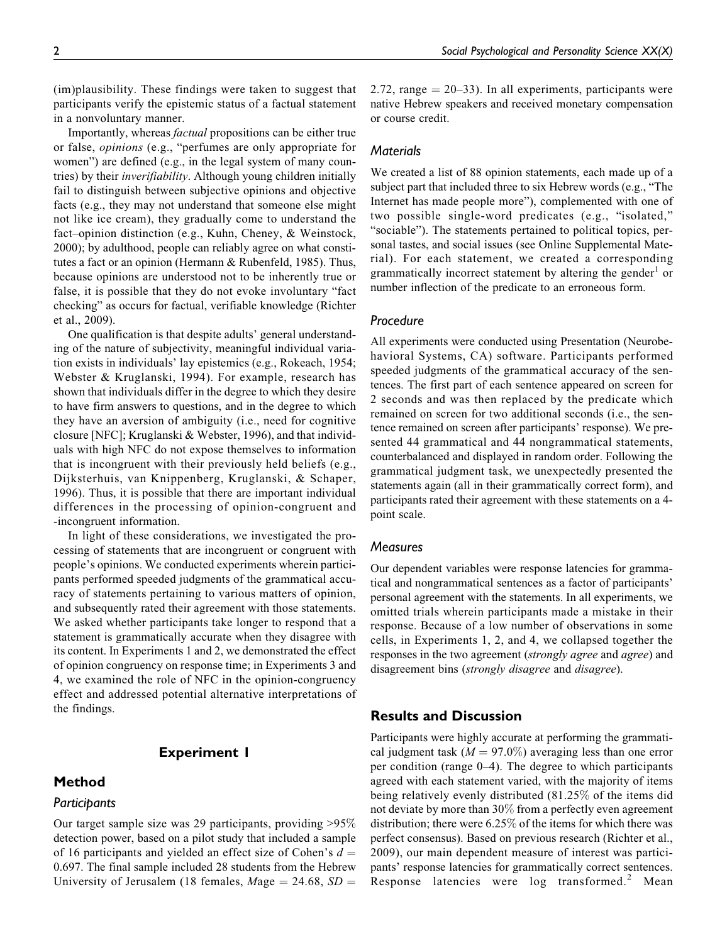(im)plausibility. These findings were taken to suggest that participants verify the epistemic status of a factual statement in a nonvoluntary manner.

Importantly, whereas factual propositions can be either true or false, opinions (e.g., "perfumes are only appropriate for women") are defined (e.g., in the legal system of many countries) by their *inverifiability*. Although young children initially fail to distinguish between subjective opinions and objective facts (e.g., they may not understand that someone else might not like ice cream), they gradually come to understand the fact–opinion distinction (e.g., Kuhn, Cheney, & Weinstock, 2000); by adulthood, people can reliably agree on what constitutes a fact or an opinion (Hermann & Rubenfeld, 1985). Thus, because opinions are understood not to be inherently true or false, it is possible that they do not evoke involuntary "fact checking" as occurs for factual, verifiable knowledge (Richter et al., 2009).

One qualification is that despite adults' general understanding of the nature of subjectivity, meaningful individual variation exists in individuals' lay epistemics (e.g., Rokeach, 1954; Webster & Kruglanski, 1994). For example, research has shown that individuals differ in the degree to which they desire to have firm answers to questions, and in the degree to which they have an aversion of ambiguity (i.e., need for cognitive closure [NFC]; Kruglanski & Webster, 1996), and that individuals with high NFC do not expose themselves to information that is incongruent with their previously held beliefs (e.g., Dijksterhuis, van Knippenberg, Kruglanski, & Schaper, 1996). Thus, it is possible that there are important individual differences in the processing of opinion-congruent and -incongruent information.

In light of these considerations, we investigated the processing of statements that are incongruent or congruent with people's opinions. We conducted experiments wherein participants performed speeded judgments of the grammatical accuracy of statements pertaining to various matters of opinion, and subsequently rated their agreement with those statements. We asked whether participants take longer to respond that a statement is grammatically accurate when they disagree with its content. In Experiments 1 and 2, we demonstrated the effect of opinion congruency on response time; in Experiments 3 and 4, we examined the role of NFC in the opinion-congruency effect and addressed potential alternative interpretations of the findings.

#### Experiment 1

#### Method

### **Participants**

Our target sample size was 29 participants, providing >95% detection power, based on a pilot study that included a sample of 16 participants and yielded an effect size of Cohen's  $d =$ 0.697. The final sample included 28 students from the Hebrew University of Jerusalem (18 females,  $Mage = 24.68$ ,  $SD =$ 

2.72, range  $= 20 - 33$ ). In all experiments, participants were native Hebrew speakers and received monetary compensation or course credit.

## **Materials**

We created a list of 88 opinion statements, each made up of a subject part that included three to six Hebrew words (e.g., "The Internet has made people more"), complemented with one of two possible single-word predicates (e.g., "isolated," "sociable"). The statements pertained to political topics, personal tastes, and social issues (see Online Supplemental Material). For each statement, we created a corresponding grammatically incorrect statement by altering the gender<sup>1</sup> or number inflection of the predicate to an erroneous form.

## Procedure

All experiments were conducted using Presentation (Neurobehavioral Systems, CA) software. Participants performed speeded judgments of the grammatical accuracy of the sentences. The first part of each sentence appeared on screen for 2 seconds and was then replaced by the predicate which remained on screen for two additional seconds (i.e., the sentence remained on screen after participants' response). We presented 44 grammatical and 44 nongrammatical statements, counterbalanced and displayed in random order. Following the grammatical judgment task, we unexpectedly presented the statements again (all in their grammatically correct form), and participants rated their agreement with these statements on a 4 point scale.

#### **Measures**

Our dependent variables were response latencies for grammatical and nongrammatical sentences as a factor of participants' personal agreement with the statements. In all experiments, we omitted trials wherein participants made a mistake in their response. Because of a low number of observations in some cells, in Experiments 1, 2, and 4, we collapsed together the responses in the two agreement (strongly agree and agree) and disagreement bins (*strongly disagree* and *disagree*).

## Results and Discussion

Participants were highly accurate at performing the grammatical judgment task ( $M = 97.0\%$ ) averaging less than one error per condition (range 0–4). The degree to which participants agreed with each statement varied, with the majority of items being relatively evenly distributed (81.25% of the items did not deviate by more than 30% from a perfectly even agreement distribution; there were 6.25% of the items for which there was perfect consensus). Based on previous research (Richter et al., 2009), our main dependent measure of interest was participants' response latencies for grammatically correct sentences. Response latencies were  $log$  transformed.<sup>2</sup> Mean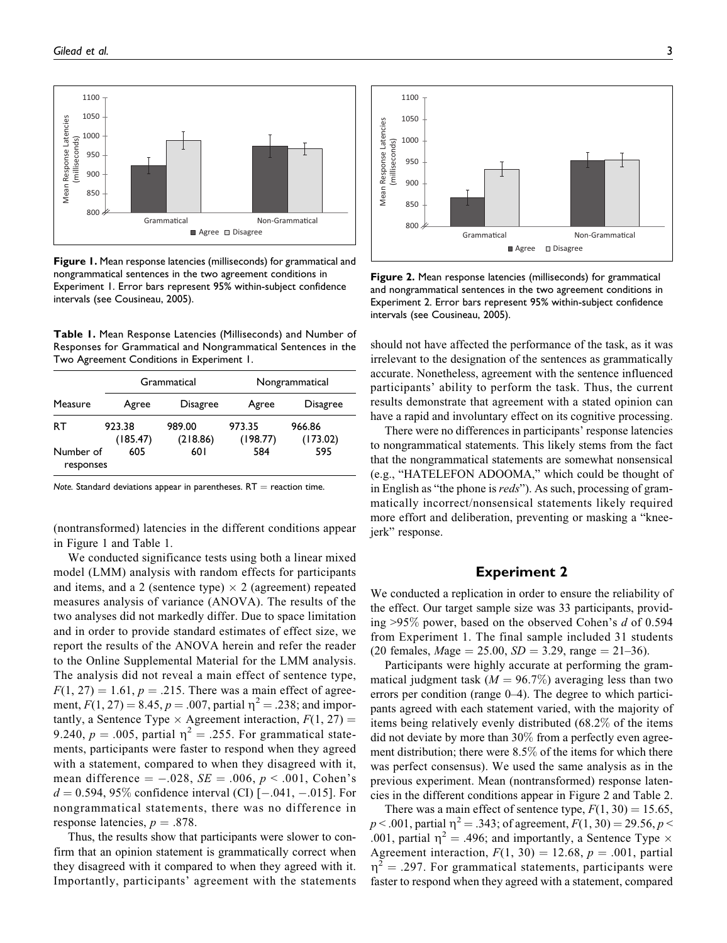

Figure 1. Mean response latencies (milliseconds) for grammatical and nongrammatical sentences in the two agreement conditions in Experiment 1. Error bars represent 95% within-subject confidence intervals (see Cousineau, 2005).

Table 1. Mean Response Latencies (Milliseconds) and Number of Responses for Grammatical and Nongrammatical Sentences in the Two Agreement Conditions in Experiment 1.

|                        | Grammatical        |                    | Nongrammatical     |                    |
|------------------------|--------------------|--------------------|--------------------|--------------------|
| Measure                | Agree              | <b>Disagree</b>    | Agree              | <b>Disagree</b>    |
| RT                     | 923.38<br>(185.47) | 989.00<br>(218.86) | 973.35<br>(198.77) | 966.86<br>(173.02) |
| Number of<br>responses | 605                | 601                | 584                | 595                |

Note. Standard deviations appear in parentheses.  $RT =$  reaction time.

(nontransformed) latencies in the different conditions appear in Figure 1 and Table 1.

We conducted significance tests using both a linear mixed model (LMM) analysis with random effects for participants and items, and a 2 (sentence type)  $\times$  2 (agreement) repeated measures analysis of variance (ANOVA). The results of the two analyses did not markedly differ. Due to space limitation and in order to provide standard estimates of effect size, we report the results of the ANOVA herein and refer the reader to the Online Supplemental Material for the LMM analysis. The analysis did not reveal a main effect of sentence type,  $F(1, 27) = 1.61$ ,  $p = .215$ . There was a main effect of agreement,  $F(1, 27) = 8.45$ ,  $p = .007$ , partial  $\eta^2 = .238$ ; and importantly, a Sentence Type  $\times$  Agreement interaction,  $F(1, 27) =$ 9.240,  $p = .005$ , partial  $\eta^2 = .255$ . For grammatical statements, participants were faster to respond when they agreed with a statement, compared to when they disagreed with it, mean difference =  $-.028$ ,  $SE = .006$ ,  $p < .001$ , Cohen's  $d = 0.594, 95\%$  confidence interval (CI) [ $-.041, -.015$ ]. For nongrammatical statements, there was no difference in response latencies,  $p = .878$ .

Thus, the results show that participants were slower to confirm that an opinion statement is grammatically correct when they disagreed with it compared to when they agreed with it. Importantly, participants' agreement with the statements



Figure 2. Mean response latencies (milliseconds) for grammatical and nongrammatical sentences in the two agreement conditions in Experiment 2. Error bars represent 95% within-subject confidence intervals (see Cousineau, 2005).

should not have affected the performance of the task, as it was irrelevant to the designation of the sentences as grammatically accurate. Nonetheless, agreement with the sentence influenced participants' ability to perform the task. Thus, the current results demonstrate that agreement with a stated opinion can have a rapid and involuntary effect on its cognitive processing.

There were no differences in participants' response latencies to nongrammatical statements. This likely stems from the fact that the nongrammatical statements are somewhat nonsensical (e.g., "HATELEFON ADOOMA," which could be thought of in English as "the phone is reds"). As such, processing of grammatically incorrect/nonsensical statements likely required more effort and deliberation, preventing or masking a "kneejerk" response.

#### Experiment 2

We conducted a replication in order to ensure the reliability of the effect. Our target sample size was 33 participants, providing  $>95\%$  power, based on the observed Cohen's d of 0.594 from Experiment 1. The final sample included 31 students (20 females,  $Mage = 25.00$ ,  $SD = 3.29$ , range  $= 21-36$ ).

Participants were highly accurate at performing the grammatical judgment task ( $M = 96.7\%$ ) averaging less than two errors per condition (range 0–4). The degree to which participants agreed with each statement varied, with the majority of items being relatively evenly distributed (68.2% of the items did not deviate by more than 30% from a perfectly even agreement distribution; there were 8.5% of the items for which there was perfect consensus). We used the same analysis as in the previous experiment. Mean (nontransformed) response latencies in the different conditions appear in Figure 2 and Table 2.

There was a main effect of sentence type,  $F(1, 30) = 15.65$ ,  $p < .001$ , partial  $\eta^2 = .343$ ; of agreement,  $F(1, 30) = 29.56$ ,  $p <$ .001, partial  $\eta^2 = .496$ ; and importantly, a Sentence Type  $\times$ Agreement interaction,  $F(1, 30) = 12.68$ ,  $p = .001$ , partial  $\eta^2$  = .297. For grammatical statements, participants were faster to respond when they agreed with a statement, compared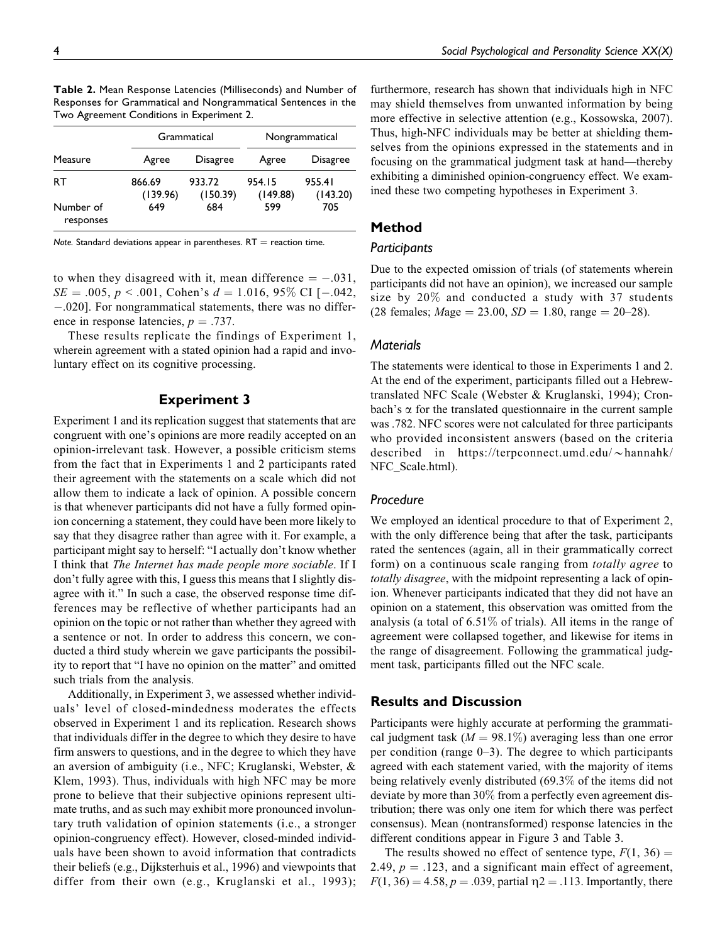| Table 2. Mean Response Latencies (Milliseconds) and Number of |
|---------------------------------------------------------------|
| Responses for Grammatical and Nongrammatical Sentences in the |
| Two Agreement Conditions in Experiment 2.                     |

|                        | Grammatical        |                    | Nongrammatical     |                    |
|------------------------|--------------------|--------------------|--------------------|--------------------|
| Measure                | Agree              | <b>Disagree</b>    | Agree              | <b>Disagree</b>    |
| RT                     | 866.69<br>(139.96) | 933.72<br>(150.39) | 954.15<br>(149.88) | 955.41<br>(143.20) |
| Number of<br>responses | 649                | 684                | 599                | 705                |

Note. Standard deviations appear in parentheses.  $RT =$  reaction time.

to when they disagreed with it, mean difference  $= -0.031$ ,  $SE = .005$ ,  $p < .001$ , Cohen's  $d = 1.016$ , 95% CI [-.042, .020]. For nongrammatical statements, there was no difference in response latencies,  $p = .737$ .

These results replicate the findings of Experiment 1, wherein agreement with a stated opinion had a rapid and involuntary effect on its cognitive processing.

## Experiment 3

Experiment 1 and its replication suggest that statements that are congruent with one's opinions are more readily accepted on an opinion-irrelevant task. However, a possible criticism stems from the fact that in Experiments 1 and 2 participants rated their agreement with the statements on a scale which did not allow them to indicate a lack of opinion. A possible concern is that whenever participants did not have a fully formed opinion concerning a statement, they could have been more likely to say that they disagree rather than agree with it. For example, a participant might say to herself: "I actually don't know whether I think that The Internet has made people more sociable. If I don't fully agree with this, I guess this means that I slightly disagree with it." In such a case, the observed response time differences may be reflective of whether participants had an opinion on the topic or not rather than whether they agreed with a sentence or not. In order to address this concern, we conducted a third study wherein we gave participants the possibility to report that "I have no opinion on the matter" and omitted such trials from the analysis.

Additionally, in Experiment 3, we assessed whether individuals' level of closed-mindedness moderates the effects observed in Experiment 1 and its replication. Research shows that individuals differ in the degree to which they desire to have firm answers to questions, and in the degree to which they have an aversion of ambiguity (i.e., NFC; Kruglanski, Webster, & Klem, 1993). Thus, individuals with high NFC may be more prone to believe that their subjective opinions represent ultimate truths, and as such may exhibit more pronounced involuntary truth validation of opinion statements (i.e., a stronger opinion-congruency effect). However, closed-minded individuals have been shown to avoid information that contradicts their beliefs (e.g., Dijksterhuis et al., 1996) and viewpoints that differ from their own (e.g., Kruglanski et al., 1993);

furthermore, research has shown that individuals high in NFC may shield themselves from unwanted information by being more effective in selective attention (e.g., Kossowska, 2007). Thus, high-NFC individuals may be better at shielding themselves from the opinions expressed in the statements and in focusing on the grammatical judgment task at hand—thereby exhibiting a diminished opinion-congruency effect. We examined these two competing hypotheses in Experiment 3.

## Method

## Participants

Due to the expected omission of trials (of statements wherein participants did not have an opinion), we increased our sample size by 20% and conducted a study with 37 students (28 females;  $Mage = 23.00$ ,  $SD = 1.80$ , range = 20–28).

## **Materials**

The statements were identical to those in Experiments 1 and 2. At the end of the experiment, participants filled out a Hebrewtranslated NFC Scale (Webster & Kruglanski, 1994); Cronbach's  $\alpha$  for the translated questionnaire in the current sample was .782. NFC scores were not calculated for three participants who provided inconsistent answers (based on the criteria described in [https://terpconnect.umd.edu/](https://terpconnect.umd.edu/~hannahk/NFC_Scale.html) $\sim$ [hannahk/](https://terpconnect.umd.edu/~hannahk/NFC_Scale.html) [NFC\\_Scale.html](https://terpconnect.umd.edu/~hannahk/NFC_Scale.html)).

#### Procedure

We employed an identical procedure to that of Experiment 2, with the only difference being that after the task, participants rated the sentences (again, all in their grammatically correct form) on a continuous scale ranging from *totally agree* to totally disagree, with the midpoint representing a lack of opinion. Whenever participants indicated that they did not have an opinion on a statement, this observation was omitted from the analysis (a total of 6.51% of trials). All items in the range of agreement were collapsed together, and likewise for items in the range of disagreement. Following the grammatical judgment task, participants filled out the NFC scale.

## Results and Discussion

Participants were highly accurate at performing the grammatical judgment task ( $M = 98.1\%$ ) averaging less than one error per condition (range 0–3). The degree to which participants agreed with each statement varied, with the majority of items being relatively evenly distributed (69.3% of the items did not deviate by more than 30% from a perfectly even agreement distribution; there was only one item for which there was perfect consensus). Mean (nontransformed) response latencies in the different conditions appear in Figure 3 and Table 3.

The results showed no effect of sentence type,  $F(1, 36) =$ 2.49,  $p = .123$ , and a significant main effect of agreement,  $F(1, 36) = 4.58, p = .039$ , partial  $p = .113$ . Importantly, there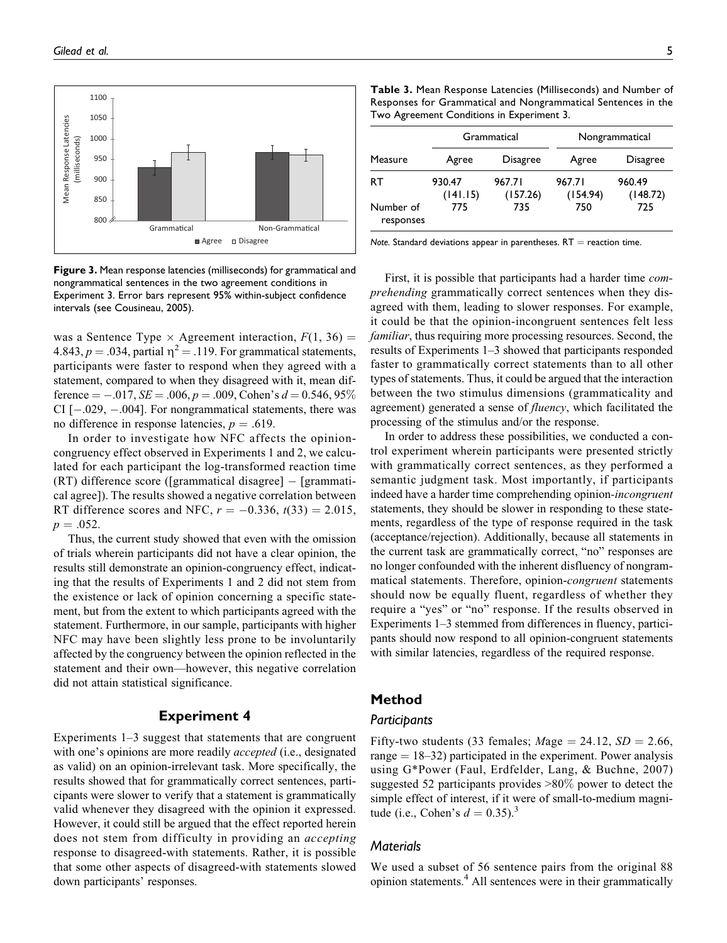

Figure 3. Mean response latencies (milliseconds) for grammatical and nongrammatical sentences in the two agreement conditions in Experiment 3. Error bars represent 95% within-subject confidence intervals (see Cousineau, 2005).

was a Sentence Type  $\times$  Agreement interaction,  $F(1, 36) =$ 4.843,  $p = .034$ , partial  $\eta^2 = .119$ . For grammatical statements, participants were faster to respond when they agreed with a statement, compared to when they disagreed with it, mean difference  $=$  -.017,  $SE = .006$ ,  $p = .009$ , Cohen's  $d = 0.546, 95\%$ CI  $[-.029, -.004]$ . For nongrammatical statements, there was no difference in response latencies,  $p = .619$ .

In order to investigate how NFC affects the opinioncongruency effect observed in Experiments 1 and 2, we calculated for each participant the log-transformed reaction time  $(RT)$  difference score ([grammatical disagree]  $-$  [grammatical agree]). The results showed a negative correlation between RT difference scores and NFC,  $r = -0.336$ ,  $t(33) = 2.015$ ,  $p = .052$ .

Thus, the current study showed that even with the omission of trials wherein participants did not have a clear opinion, the results still demonstrate an opinion-congruency effect, indicating that the results of Experiments 1 and 2 did not stem from the existence or lack of opinion concerning a specific statement, but from the extent to which participants agreed with the statement. Furthermore, in our sample, participants with higher NFC may have been slightly less prone to be involuntarily affected by the congruency between the opinion reflected in the statement and their own—however, this negative correlation did not attain statistical significance.

#### Experiment 4

Experiments 1–3 suggest that statements that are congruent with one's opinions are more readily *accepted* (i.e., designated as valid) on an opinion-irrelevant task. More specifically, the results showed that for grammatically correct sentences, participants were slower to verify that a statement is grammatically valid whenever they disagreed with the opinion it expressed. However, it could still be argued that the effect reported herein does not stem from difficulty in providing an accepting response to disagreed-with statements. Rather, it is possible that some other aspects of disagreed-with statements slowed down participants' responses.

Table 3. Mean Response Latencies (Milliseconds) and Number of Responses for Grammatical and Nongrammatical Sentences in the Two Agreement Conditions in Experiment 3.

|                        | Grammatical        |                    | Nongrammatical     |                    |
|------------------------|--------------------|--------------------|--------------------|--------------------|
| Measure                | Agree              | <b>Disagree</b>    | Agree              | <b>Disagree</b>    |
| RT                     | 930.47<br>(141.15) | 967.71<br>(157.26) | 967.71<br>(154.94) | 960.49<br>(148.72) |
| Number of<br>responses | 775                | 735                | 750                | 725                |

Note. Standard deviations appear in parentheses.  $RT =$  reaction time.

First, it is possible that participants had a harder time comprehending grammatically correct sentences when they disagreed with them, leading to slower responses. For example, it could be that the opinion-incongruent sentences felt less *familiar*, thus requiring more processing resources. Second, the results of Experiments 1–3 showed that participants responded faster to grammatically correct statements than to all other types of statements. Thus, it could be argued that the interaction between the two stimulus dimensions (grammaticality and agreement) generated a sense of *fluency*, which facilitated the processing of the stimulus and/or the response.

In order to address these possibilities, we conducted a control experiment wherein participants were presented strictly with grammatically correct sentences, as they performed a semantic judgment task. Most importantly, if participants indeed have a harder time comprehending opinion-incongruent statements, they should be slower in responding to these statements, regardless of the type of response required in the task (acceptance/rejection). Additionally, because all statements in the current task are grammatically correct, "no" responses are no longer confounded with the inherent disfluency of nongrammatical statements. Therefore, opinion-congruent statements should now be equally fluent, regardless of whether they require a "yes" or "no" response. If the results observed in Experiments 1–3 stemmed from differences in fluency, participants should now respond to all opinion-congruent statements with similar latencies, regardless of the required response.

## Method

## **Participants**

Fifty-two students (33 females;  $Mage = 24.12$ ,  $SD = 2.66$ , range  $= 18-32$ ) participated in the experiment. Power analysis using G\*Power (Faul, Erdfelder, Lang, & Buchne, 2007) suggested 52 participants provides >80% power to detect the simple effect of interest, if it were of small-to-medium magnitude (i.e., Cohen's  $d = 0.35$ ).<sup>3</sup>

### **Materials**

We used a subset of 56 sentence pairs from the original 88 opinion statements.<sup>4</sup> All sentences were in their grammatically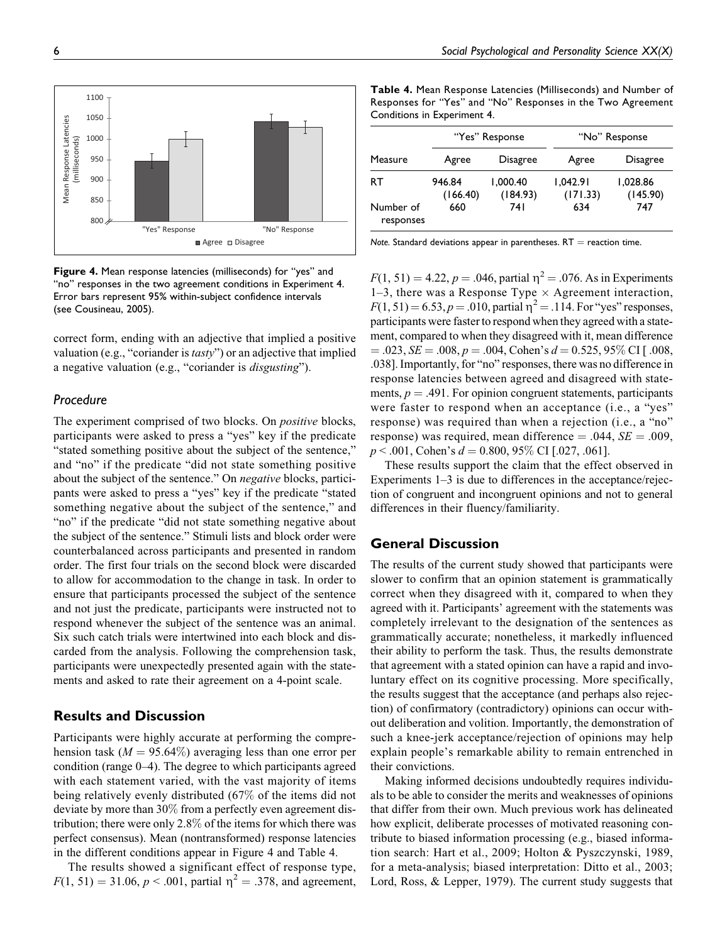

Figure 4. Mean response latencies (milliseconds) for "yes" and "no" responses in the two agreement conditions in Experiment 4. Error bars represent 95% within-subject confidence intervals (see Cousineau, 2005).

correct form, ending with an adjective that implied a positive valuation (e.g., "coriander is tasty") or an adjective that implied a negative valuation (e.g., "coriander is disgusting").

#### Procedure

The experiment comprised of two blocks. On *positive* blocks, participants were asked to press a "yes" key if the predicate "stated something positive about the subject of the sentence," and "no" if the predicate "did not state something positive about the subject of the sentence." On negative blocks, participants were asked to press a "yes" key if the predicate "stated something negative about the subject of the sentence," and "no" if the predicate "did not state something negative about the subject of the sentence." Stimuli lists and block order were counterbalanced across participants and presented in random order. The first four trials on the second block were discarded to allow for accommodation to the change in task. In order to ensure that participants processed the subject of the sentence and not just the predicate, participants were instructed not to respond whenever the subject of the sentence was an animal. Six such catch trials were intertwined into each block and discarded from the analysis. Following the comprehension task, participants were unexpectedly presented again with the statements and asked to rate their agreement on a 4-point scale.

## Results and Discussion

Participants were highly accurate at performing the comprehension task ( $M = 95.64\%$ ) averaging less than one error per condition (range 0–4). The degree to which participants agreed with each statement varied, with the vast majority of items being relatively evenly distributed (67% of the items did not deviate by more than 30% from a perfectly even agreement distribution; there were only 2.8% of the items for which there was perfect consensus). Mean (nontransformed) response latencies in the different conditions appear in Figure 4 and Table 4.

The results showed a significant effect of response type,  $F(1, 51) = 31.06, p < .001$ , partial  $\eta^2 = .378$ , and agreement,

Table 4. Mean Response Latencies (Milliseconds) and Number of Responses for "Yes" and "No" Responses in the Two Agreement Conditions in Experiment 4.

|                        | "Yes" Response     |                      | "No" Response        |                      |
|------------------------|--------------------|----------------------|----------------------|----------------------|
| Measure                | Agree              | <b>Disagree</b>      | Agree                | <b>Disagree</b>      |
| RT                     | 946.84<br>(166.40) | 1,000.40<br>(184.93) | 1,042.91<br>(171.33) | 1,028.86<br>(145.90) |
| Number of<br>responses | 660                | 74 I                 | 634                  | 747                  |

Note. Standard deviations appear in parentheses.  $RT =$  reaction time.

 $F(1, 51) = 4.22, p = .046$ , partial  $\eta^2 = .076$ . As in Experiments 1–3, there was a Response Type  $\times$  Agreement interaction,  $F(1, 51) = 6.53, p = .010$ , partial  $p^2 = .114$ . For "yes" responses, participants were faster to respond when they agreed with a statement, compared to when they disagreed with it, mean difference  $= .023, SE = .008, p = .004, Cohen's d = 0.525, 95\% \text{ CI}$  [.008, .038]. Importantly, for "no" responses, there was no difference in response latencies between agreed and disagreed with statements,  $p = .491$ . For opinion congruent statements, participants were faster to respond when an acceptance (i.e., a "yes" response) was required than when a rejection (i.e., a "no" response) was required, mean difference  $= .044$ ,  $SE = .009$ .  $p < .001$ , Cohen's  $d = 0.800, 95\%$  CI [.027, .061].

These results support the claim that the effect observed in Experiments 1–3 is due to differences in the acceptance/rejection of congruent and incongruent opinions and not to general differences in their fluency/familiarity.

## General Discussion

The results of the current study showed that participants were slower to confirm that an opinion statement is grammatically correct when they disagreed with it, compared to when they agreed with it. Participants' agreement with the statements was completely irrelevant to the designation of the sentences as grammatically accurate; nonetheless, it markedly influenced their ability to perform the task. Thus, the results demonstrate that agreement with a stated opinion can have a rapid and involuntary effect on its cognitive processing. More specifically, the results suggest that the acceptance (and perhaps also rejection) of confirmatory (contradictory) opinions can occur without deliberation and volition. Importantly, the demonstration of such a knee-jerk acceptance/rejection of opinions may help explain people's remarkable ability to remain entrenched in their convictions.

Making informed decisions undoubtedly requires individuals to be able to consider the merits and weaknesses of opinions that differ from their own. Much previous work has delineated how explicit, deliberate processes of motivated reasoning contribute to biased information processing (e.g., biased information search: Hart et al., 2009; Holton & Pyszczynski, 1989, for a meta-analysis; biased interpretation: Ditto et al., 2003; Lord, Ross, & Lepper, 1979). The current study suggests that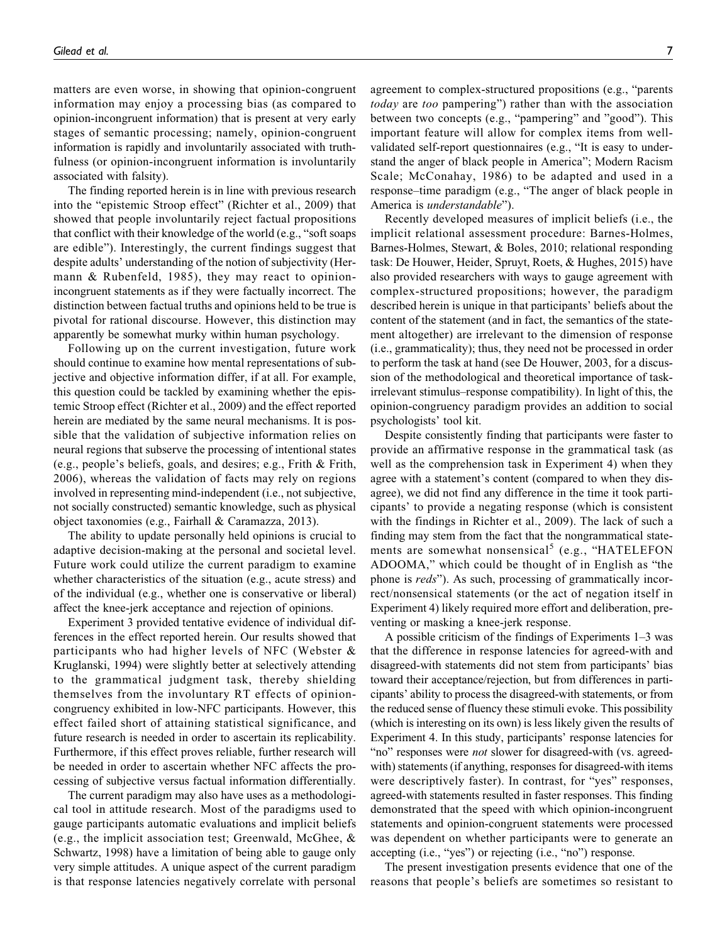matters are even worse, in showing that opinion-congruent information may enjoy a processing bias (as compared to opinion-incongruent information) that is present at very early stages of semantic processing; namely, opinion-congruent information is rapidly and involuntarily associated with truthfulness (or opinion-incongruent information is involuntarily associated with falsity).

The finding reported herein is in line with previous research into the "epistemic Stroop effect" (Richter et al., 2009) that showed that people involuntarily reject factual propositions that conflict with their knowledge of the world (e.g., "soft soaps are edible"). Interestingly, the current findings suggest that despite adults' understanding of the notion of subjectivity (Hermann & Rubenfeld, 1985), they may react to opinionincongruent statements as if they were factually incorrect. The distinction between factual truths and opinions held to be true is pivotal for rational discourse. However, this distinction may apparently be somewhat murky within human psychology.

Following up on the current investigation, future work should continue to examine how mental representations of subjective and objective information differ, if at all. For example, this question could be tackled by examining whether the epistemic Stroop effect (Richter et al., 2009) and the effect reported herein are mediated by the same neural mechanisms. It is possible that the validation of subjective information relies on neural regions that subserve the processing of intentional states (e.g., people's beliefs, goals, and desires; e.g., Frith & Frith, 2006), whereas the validation of facts may rely on regions involved in representing mind-independent (i.e., not subjective, not socially constructed) semantic knowledge, such as physical object taxonomies (e.g., Fairhall & Caramazza, 2013).

The ability to update personally held opinions is crucial to adaptive decision-making at the personal and societal level. Future work could utilize the current paradigm to examine whether characteristics of the situation (e.g., acute stress) and of the individual (e.g., whether one is conservative or liberal) affect the knee-jerk acceptance and rejection of opinions.

Experiment 3 provided tentative evidence of individual differences in the effect reported herein. Our results showed that participants who had higher levels of NFC (Webster & Kruglanski, 1994) were slightly better at selectively attending to the grammatical judgment task, thereby shielding themselves from the involuntary RT effects of opinioncongruency exhibited in low-NFC participants. However, this effect failed short of attaining statistical significance, and future research is needed in order to ascertain its replicability. Furthermore, if this effect proves reliable, further research will be needed in order to ascertain whether NFC affects the processing of subjective versus factual information differentially.

The current paradigm may also have uses as a methodological tool in attitude research. Most of the paradigms used to gauge participants automatic evaluations and implicit beliefs (e.g., the implicit association test; Greenwald, McGhee, & Schwartz, 1998) have a limitation of being able to gauge only very simple attitudes. A unique aspect of the current paradigm is that response latencies negatively correlate with personal agreement to complex-structured propositions (e.g., "parents today are too pampering") rather than with the association between two concepts (e.g., "pampering" and "good"). This important feature will allow for complex items from wellvalidated self-report questionnaires (e.g., "It is easy to understand the anger of black people in America"; Modern Racism Scale; McConahay, 1986) to be adapted and used in a response–time paradigm (e.g., "The anger of black people in America is understandable").

Recently developed measures of implicit beliefs (i.e., the implicit relational assessment procedure: Barnes-Holmes, Barnes-Holmes, Stewart, & Boles, 2010; relational responding task: De Houwer, Heider, Spruyt, Roets, & Hughes, 2015) have also provided researchers with ways to gauge agreement with complex-structured propositions; however, the paradigm described herein is unique in that participants' beliefs about the content of the statement (and in fact, the semantics of the statement altogether) are irrelevant to the dimension of response (i.e., grammaticality); thus, they need not be processed in order to perform the task at hand (see De Houwer, 2003, for a discussion of the methodological and theoretical importance of taskirrelevant stimulus–response compatibility). In light of this, the opinion-congruency paradigm provides an addition to social psychologists' tool kit.

Despite consistently finding that participants were faster to provide an affirmative response in the grammatical task (as well as the comprehension task in Experiment 4) when they agree with a statement's content (compared to when they disagree), we did not find any difference in the time it took participants' to provide a negating response (which is consistent with the findings in Richter et al., 2009). The lack of such a finding may stem from the fact that the nongrammatical statements are somewhat nonsensical<sup>5</sup> (e.g., "HATELEFON ADOOMA," which could be thought of in English as "the phone is *reds*"). As such, processing of grammatically incorrect/nonsensical statements (or the act of negation itself in Experiment 4) likely required more effort and deliberation, preventing or masking a knee-jerk response.

A possible criticism of the findings of Experiments 1–3 was that the difference in response latencies for agreed-with and disagreed-with statements did not stem from participants' bias toward their acceptance/rejection, but from differences in participants' ability to process the disagreed-with statements, or from the reduced sense of fluency these stimuli evoke. This possibility (which is interesting on its own) is less likely given the results of Experiment 4. In this study, participants' response latencies for "no" responses were *not* slower for disagreed-with (vs. agreedwith) statements (if anything, responses for disagreed-with items were descriptively faster). In contrast, for "yes" responses, agreed-with statements resulted in faster responses. This finding demonstrated that the speed with which opinion-incongruent statements and opinion-congruent statements were processed was dependent on whether participants were to generate an accepting (i.e., "yes") or rejecting (i.e., "no") response.

The present investigation presents evidence that one of the reasons that people's beliefs are sometimes so resistant to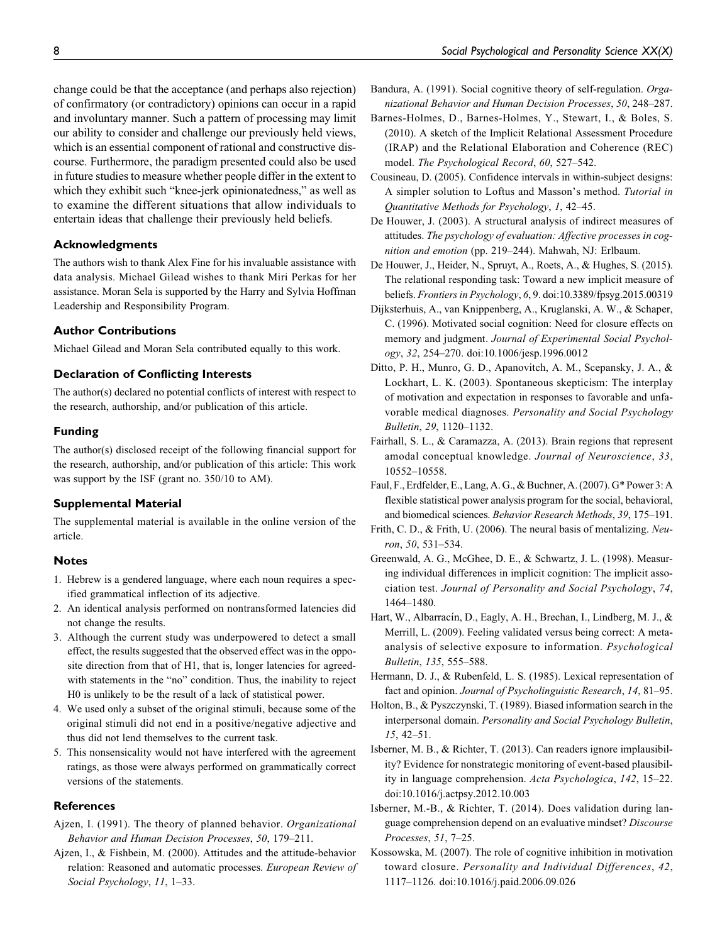change could be that the acceptance (and perhaps also rejection) of confirmatory (or contradictory) opinions can occur in a rapid and involuntary manner. Such a pattern of processing may limit our ability to consider and challenge our previously held views, which is an essential component of rational and constructive discourse. Furthermore, the paradigm presented could also be used in future studies to measure whether people differ in the extent to which they exhibit such "knee-jerk opinionatedness," as well as to examine the different situations that allow individuals to entertain ideas that challenge their previously held beliefs.

#### Acknowledgments

The authors wish to thank Alex Fine for his invaluable assistance with data analysis. Michael Gilead wishes to thank Miri Perkas for her assistance. Moran Sela is supported by the Harry and Sylvia Hoffman Leadership and Responsibility Program.

#### Author Contributions

Michael Gilead and Moran Sela contributed equally to this work.

## Declaration of Conflicting Interests

The author(s) declared no potential conflicts of interest with respect to the research, authorship, and/or publication of this article.

#### Funding

The author(s) disclosed receipt of the following financial support for the research, authorship, and/or publication of this article: This work was support by the ISF (grant no. 350/10 to AM).

## Supplemental Material

The supplemental material is available in the online version of the article.

### Notes

- 1. Hebrew is a gendered language, where each noun requires a specified grammatical inflection of its adjective.
- 2. An identical analysis performed on nontransformed latencies did not change the results.
- 3. Although the current study was underpowered to detect a small effect, the results suggested that the observed effect was in the opposite direction from that of H1, that is, longer latencies for agreedwith statements in the "no" condition. Thus, the inability to reject H0 is unlikely to be the result of a lack of statistical power.
- 4. We used only a subset of the original stimuli, because some of the original stimuli did not end in a positive/negative adjective and thus did not lend themselves to the current task.
- 5. This nonsensicality would not have interfered with the agreement ratings, as those were always performed on grammatically correct versions of the statements.

#### References

- Ajzen, I. (1991). The theory of planned behavior. Organizational Behavior and Human Decision Processes, 50, 179–211.
- Ajzen, I., & Fishbein, M. (2000). Attitudes and the attitude-behavior relation: Reasoned and automatic processes. European Review of Social Psychology, 11, 1–33.
- Bandura, A. (1991). Social cognitive theory of self-regulation. Organizational Behavior and Human Decision Processes, 50, 248–287.
- Barnes-Holmes, D., Barnes-Holmes, Y., Stewart, I., & Boles, S. (2010). A sketch of the Implicit Relational Assessment Procedure (IRAP) and the Relational Elaboration and Coherence (REC) model. The Psychological Record, 60, 527–542.
- Cousineau, D. (2005). Confidence intervals in within-subject designs: A simpler solution to Loftus and Masson's method. Tutorial in Quantitative Methods for Psychology, 1, 42–45.
- De Houwer, J. (2003). A structural analysis of indirect measures of attitudes. The psychology of evaluation: Affective processes in cognition and emotion (pp. 219–244). Mahwah, NJ: Erlbaum.
- De Houwer, J., Heider, N., Spruyt, A., Roets, A., & Hughes, S. (2015). The relational responding task: Toward a new implicit measure of beliefs. Frontiers in Psychology, 6, 9. doi:10.3389/fpsyg.2015.00319
- Dijksterhuis, A., van Knippenberg, A., Kruglanski, A. W., & Schaper, C. (1996). Motivated social cognition: Need for closure effects on memory and judgment. Journal of Experimental Social Psychology, 32, 254–270. doi:10.1006/jesp.1996.0012
- Ditto, P. H., Munro, G. D., Apanovitch, A. M., Scepansky, J. A., & Lockhart, L. K. (2003). Spontaneous skepticism: The interplay of motivation and expectation in responses to favorable and unfavorable medical diagnoses. Personality and Social Psychology Bulletin, 29, 1120–1132.
- Fairhall, S. L., & Caramazza, A. (2013). Brain regions that represent amodal conceptual knowledge. Journal of Neuroscience, 33, 10552–10558.
- Faul, F., Erdfelder, E., Lang, A. G., & Buchner, A. (2007). G\* Power 3: A flexible statistical power analysis program for the social, behavioral, and biomedical sciences. Behavior Research Methods, 39, 175–191.
- Frith, C. D., & Frith, U. (2006). The neural basis of mentalizing. Neuron, 50, 531–534.
- Greenwald, A. G., McGhee, D. E., & Schwartz, J. L. (1998). Measuring individual differences in implicit cognition: The implicit association test. Journal of Personality and Social Psychology, 74, 1464–1480.
- Hart, W., Albarracín, D., Eagly, A. H., Brechan, I., Lindberg, M. J., & Merrill, L. (2009). Feeling validated versus being correct: A metaanalysis of selective exposure to information. Psychological Bulletin, 135, 555–588.

Hermann, D. J., & Rubenfeld, L. S. (1985). Lexical representation of fact and opinion. Journal of Psycholinguistic Research, 14, 81–95.

- Holton, B., & Pyszczynski, T. (1989). Biased information search in the interpersonal domain. Personality and Social Psychology Bulletin, 15, 42–51.
- Isberner, M. B., & Richter, T. (2013). Can readers ignore implausibility? Evidence for nonstrategic monitoring of event-based plausibility in language comprehension. Acta Psychologica, 142, 15–22. doi:10.1016/j.actpsy.2012.10.003
- Isberner, M.-B., & Richter, T. (2014). Does validation during language comprehension depend on an evaluative mindset? Discourse Processes, 51, 7–25.
- Kossowska, M. (2007). The role of cognitive inhibition in motivation toward closure. Personality and Individual Differences, 42, 1117–1126. doi:10.1016/j.paid.2006.09.026